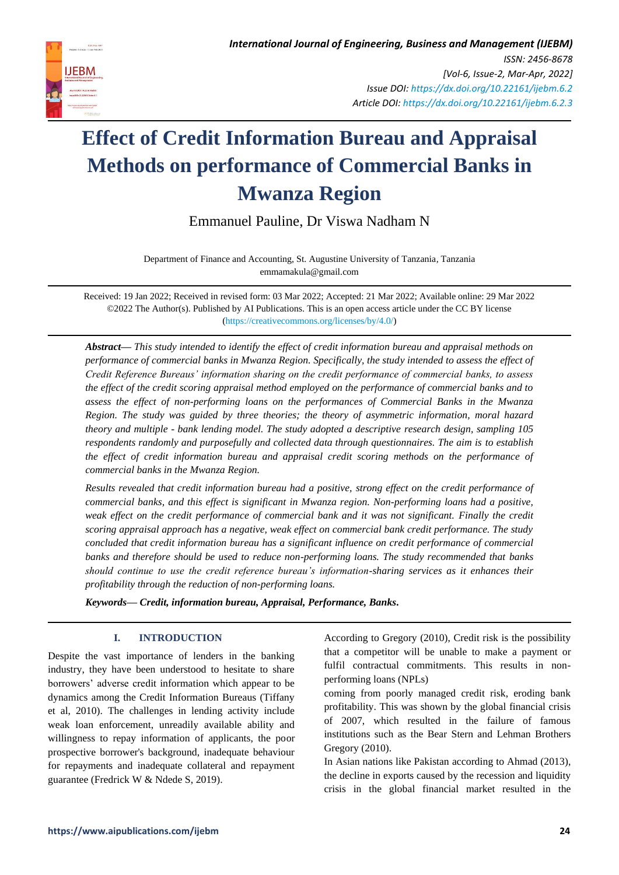

Emmanuel Pauline, Dr Viswa Nadham N

Department of Finance and Accounting, St. Augustine University of Tanzania, Tanzania emmamakula@gmail.com

Received: 19 Jan 2022; Received in revised form: 03 Mar 2022; Accepted: 21 Mar 2022; Available online: 29 Mar 2022 ©2022 The Author(s). Published by AI Publications. This is an open access article under the CC BY license [\(https://creativecommons.org/licenses/by/4.0/\)](https://creativecommons.org/licenses/by/4.0/)

*Abstract— This study intended to identify the effect of credit information bureau and appraisal methods on performance of commercial banks in Mwanza Region. Specifically, the study intended to assess the effect of Credit Reference Bureaus' information sharing on the credit performance of commercial banks, to assess the effect of the credit scoring appraisal method employed on the performance of commercial banks and to assess the effect of non-performing loans on the performances of Commercial Banks in the Mwanza Region. The study was guided by three theories; the theory of asymmetric information, moral hazard theory and multiple - bank lending model. The study adopted a descriptive research design, sampling 105 respondents randomly and purposefully and collected data through questionnaires. The aim is to establish the effect of credit information bureau and appraisal credit scoring methods on the performance of commercial banks in the Mwanza Region.* 

*Results revealed that credit information bureau had a positive, strong effect on the credit performance of commercial banks, and this effect is significant in Mwanza region. Non-performing loans had a positive,*  weak effect on the credit performance of commercial bank and it was not significant. Finally the credit *scoring appraisal approach has a negative, weak effect on commercial bank credit performance. The study concluded that credit information bureau has a significant influence on credit performance of commercial banks and therefore should be used to reduce non-performing loans. The study recommended that banks should continue to use the credit reference bureau's information-sharing services as it enhances their profitability through the reduction of non-performing loans.*

*Keywords— Credit, information bureau, Appraisal, Performance, Banks.*

# **I. INTRODUCTION**

Despite the vast importance of lenders in the banking industry, they have been understood to hesitate to share borrowers' adverse credit information which appear to be dynamics among the Credit Information Bureaus (Tiffany et al, 2010). The challenges in lending activity include weak loan enforcement, unreadily available ability and willingness to repay information of applicants, the poor prospective borrower's background, inadequate behaviour for repayments and inadequate collateral and repayment guarantee (Fredrick W & Ndede S, 2019).

According to Gregory (2010), Credit risk is the possibility that a competitor will be unable to make a payment or fulfil contractual commitments. This results in nonperforming loans (NPLs)

coming from poorly managed credit risk, eroding bank profitability. This was shown by the global financial crisis of 2007, which resulted in the failure of famous institutions such as the Bear Stern and Lehman Brothers Gregory (2010).

In Asian nations like Pakistan according to Ahmad (2013), the decline in exports caused by the recession and liquidity crisis in the global financial market resulted in the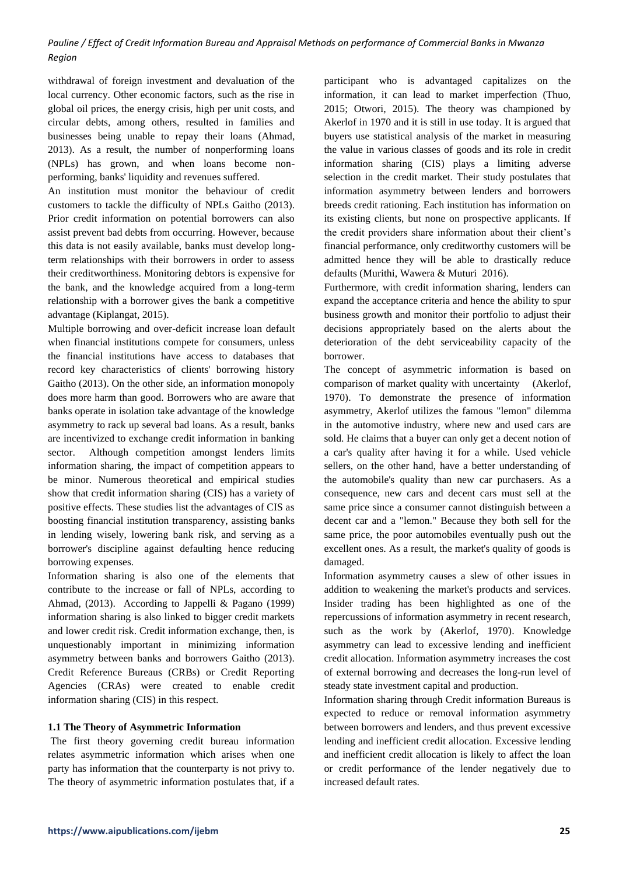withdrawal of foreign investment and devaluation of the local currency. Other economic factors, such as the rise in global oil prices, the energy crisis, high per unit costs, and circular debts, among others, resulted in families and businesses being unable to repay their loans (Ahmad, 2013). As a result, the number of nonperforming loans (NPLs) has grown, and when loans become nonperforming, banks' liquidity and revenues suffered.

An institution must monitor the behaviour of credit customers to tackle the difficulty of NPLs Gaitho (2013). Prior credit information on potential borrowers can also assist prevent bad debts from occurring. However, because this data is not easily available, banks must develop longterm relationships with their borrowers in order to assess their creditworthiness. Monitoring debtors is expensive for the bank, and the knowledge acquired from a long-term relationship with a borrower gives the bank a competitive advantage (Kiplangat, 2015).

Multiple borrowing and over-deficit increase loan default when financial institutions compete for consumers, unless the financial institutions have access to databases that record key characteristics of clients' borrowing history Gaitho (2013). On the other side, an information monopoly does more harm than good. Borrowers who are aware that banks operate in isolation take advantage of the knowledge asymmetry to rack up several bad loans. As a result, banks are incentivized to exchange credit information in banking sector. Although competition amongst lenders limits information sharing, the impact of competition appears to be minor. Numerous theoretical and empirical studies show that credit information sharing (CIS) has a variety of positive effects. These studies list the advantages of CIS as boosting financial institution transparency, assisting banks in lending wisely, lowering bank risk, and serving as a borrower's discipline against defaulting hence reducing borrowing expenses.

Information sharing is also one of the elements that contribute to the increase or fall of NPLs, according to Ahmad, (2013). According to Jappelli & Pagano (1999) information sharing is also linked to bigger credit markets and lower credit risk. Credit information exchange, then, is unquestionably important in minimizing information asymmetry between banks and borrowers Gaitho (2013). Credit Reference Bureaus (CRBs) or Credit Reporting Agencies (CRAs) were created to enable credit information sharing (CIS) in this respect.

## **1.1 The Theory of Asymmetric Information**

The first theory governing credit bureau information relates asymmetric information which arises when one party has information that the counterparty is not privy to. The theory of asymmetric information postulates that, if a participant who is advantaged capitalizes on the information, it can lead to market imperfection (Thuo, 2015; Otwori, 2015). The theory was championed by Akerlof in 1970 and it is still in use today. It is argued that buyers use statistical analysis of the market in measuring the value in various classes of goods and its role in credit information sharing (CIS) plays a limiting adverse selection in the credit market. Their study postulates that information asymmetry between lenders and borrowers breeds credit rationing. Each institution has information on its existing clients, but none on prospective applicants. If the credit providers share information about their client's financial performance, only creditworthy customers will be admitted hence they will be able to drastically reduce defaults (Murithi, Wawera & Muturi 2016).

Furthermore, with credit information sharing, lenders can expand the acceptance criteria and hence the ability to spur business growth and monitor their portfolio to adjust their decisions appropriately based on the alerts about the deterioration of the debt serviceability capacity of the borrower.

The concept of asymmetric information is based on comparison of market quality with uncertainty (Akerlof, 1970). To demonstrate the presence of information asymmetry, Akerlof utilizes the famous "lemon" dilemma in the automotive industry, where new and used cars are sold. He claims that a buyer can only get a decent notion of a car's quality after having it for a while. Used vehicle sellers, on the other hand, have a better understanding of the automobile's quality than new car purchasers. As a consequence, new cars and decent cars must sell at the same price since a consumer cannot distinguish between a decent car and a "lemon." Because they both sell for the same price, the poor automobiles eventually push out the excellent ones. As a result, the market's quality of goods is damaged.

Information asymmetry causes a slew of other issues in addition to weakening the market's products and services. Insider trading has been highlighted as one of the repercussions of information asymmetry in recent research, such as the work by (Akerlof, 1970). Knowledge asymmetry can lead to excessive lending and inefficient credit allocation. Information asymmetry increases the cost of external borrowing and decreases the long-run level of steady state investment capital and production.

Information sharing through Credit information Bureaus is expected to reduce or removal information asymmetry between borrowers and lenders, and thus prevent excessive lending and inefficient credit allocation. Excessive lending and inefficient credit allocation is likely to affect the loan or credit performance of the lender negatively due to increased default rates.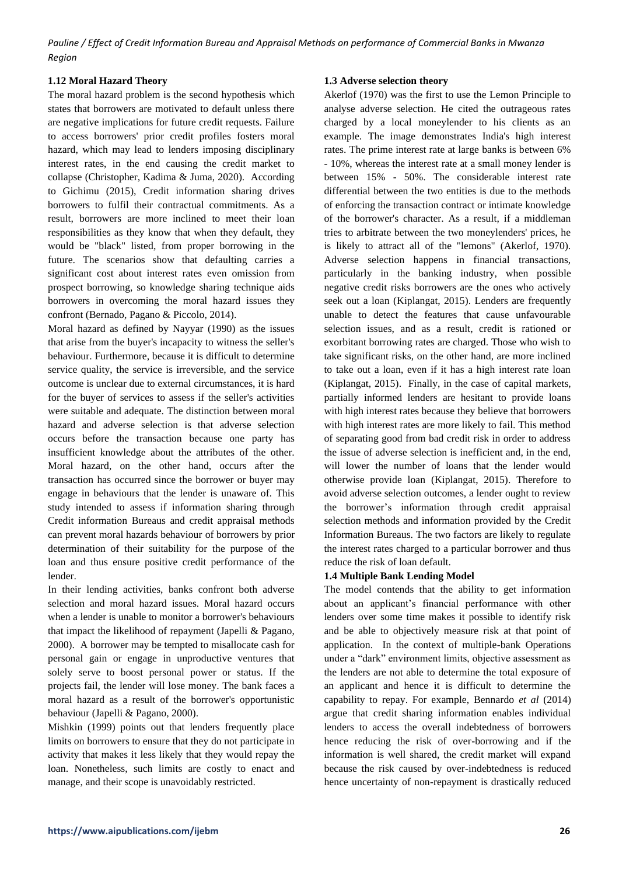## **1.12 Moral Hazard Theory**

The moral hazard problem is the second hypothesis which states that borrowers are motivated to default unless there are negative implications for future credit requests. Failure to access borrowers' prior credit profiles fosters moral hazard, which may lead to lenders imposing disciplinary interest rates, in the end causing the credit market to collapse (Christopher, Kadima & Juma, 2020). According to Gichimu (2015), Credit information sharing drives borrowers to fulfil their contractual commitments. As a result, borrowers are more inclined to meet their loan responsibilities as they know that when they default, they would be "black" listed, from proper borrowing in the future. The scenarios show that defaulting carries a significant cost about interest rates even omission from prospect borrowing, so knowledge sharing technique aids borrowers in overcoming the moral hazard issues they confront (Bernado, Pagano & Piccolo, 2014).

Moral hazard as defined by Nayyar (1990) as the issues that arise from the buyer's incapacity to witness the seller's behaviour. Furthermore, because it is difficult to determine service quality, the service is irreversible, and the service outcome is unclear due to external circumstances, it is hard for the buyer of services to assess if the seller's activities were suitable and adequate. The distinction between moral hazard and adverse selection is that adverse selection occurs before the transaction because one party has insufficient knowledge about the attributes of the other. Moral hazard, on the other hand, occurs after the transaction has occurred since the borrower or buyer may engage in behaviours that the lender is unaware of. This study intended to assess if information sharing through Credit information Bureaus and credit appraisal methods can prevent moral hazards behaviour of borrowers by prior determination of their suitability for the purpose of the loan and thus ensure positive credit performance of the lender.

In their lending activities, banks confront both adverse selection and moral hazard issues. Moral hazard occurs when a lender is unable to monitor a borrower's behaviours that impact the likelihood of repayment (Japelli & Pagano, 2000). A borrower may be tempted to misallocate cash for personal gain or engage in unproductive ventures that solely serve to boost personal power or status. If the projects fail, the lender will lose money. The bank faces a moral hazard as a result of the borrower's opportunistic behaviour (Japelli & Pagano, 2000).

Mishkin (1999) points out that lenders frequently place limits on borrowers to ensure that they do not participate in activity that makes it less likely that they would repay the loan. Nonetheless, such limits are costly to enact and manage, and their scope is unavoidably restricted.

## **1.3 Adverse selection theory**

Akerlof (1970) was the first to use the Lemon Principle to analyse adverse selection. He cited the outrageous rates charged by a local moneylender to his clients as an example. The image demonstrates India's high interest rates. The prime interest rate at large banks is between 6% - 10%, whereas the interest rate at a small money lender is between 15% - 50%. The considerable interest rate differential between the two entities is due to the methods of enforcing the transaction contract or intimate knowledge of the borrower's character. As a result, if a middleman tries to arbitrate between the two moneylenders' prices, he is likely to attract all of the "lemons" (Akerlof, 1970). Adverse selection happens in financial transactions, particularly in the banking industry, when possible negative credit risks borrowers are the ones who actively seek out a loan (Kiplangat, 2015). Lenders are frequently unable to detect the features that cause unfavourable selection issues, and as a result, credit is rationed or exorbitant borrowing rates are charged. Those who wish to take significant risks, on the other hand, are more inclined to take out a loan, even if it has a high interest rate loan (Kiplangat, 2015). Finally, in the case of capital markets, partially informed lenders are hesitant to provide loans with high interest rates because they believe that borrowers with high interest rates are more likely to fail. This method of separating good from bad credit risk in order to address the issue of adverse selection is inefficient and, in the end, will lower the number of loans that the lender would otherwise provide loan (Kiplangat, 2015). Therefore to avoid adverse selection outcomes, a lender ought to review the borrower's information through credit appraisal selection methods and information provided by the Credit Information Bureaus. The two factors are likely to regulate the interest rates charged to a particular borrower and thus reduce the risk of loan default.

## **1.4 Multiple Bank Lending Model**

The model contends that the ability to get information about an applicant's financial performance with other lenders over some time makes it possible to identify risk and be able to objectively measure risk at that point of application. In the context of multiple-bank Operations under a "dark" environment limits, objective assessment as the lenders are not able to determine the total exposure of an applicant and hence it is difficult to determine the capability to repay. For example, Bennardo *et al* (2014) argue that credit sharing information enables individual lenders to access the overall indebtedness of borrowers hence reducing the risk of over-borrowing and if the information is well shared, the credit market will expand because the risk caused by over-indebtedness is reduced hence uncertainty of non-repayment is drastically reduced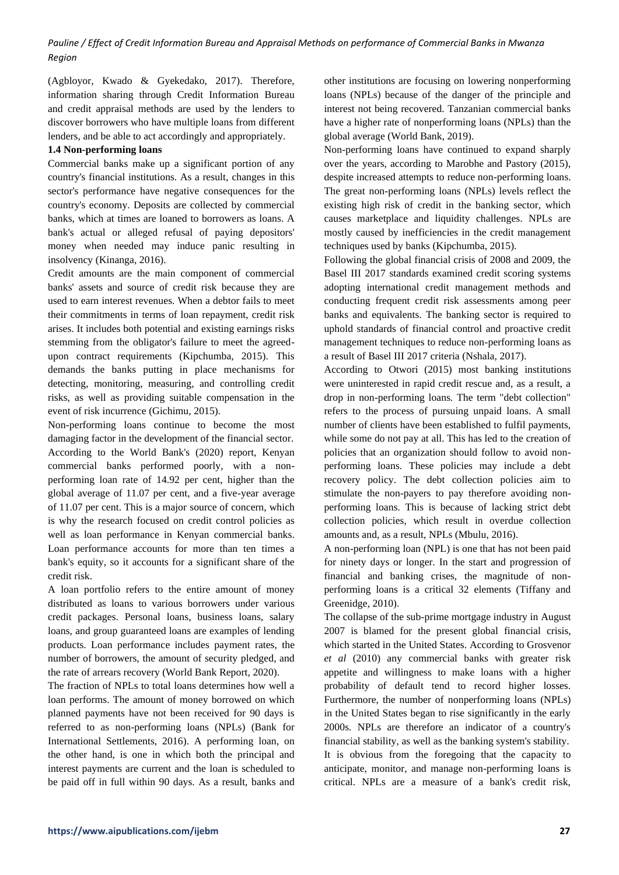(Agbloyor, Kwado & Gyekedako, 2017). Therefore, information sharing through Credit Information Bureau and credit appraisal methods are used by the lenders to discover borrowers who have multiple loans from different lenders, and be able to act accordingly and appropriately.

#### **1.4 Non-performing loans**

Commercial banks make up a significant portion of any country's financial institutions. As a result, changes in this sector's performance have negative consequences for the country's economy. Deposits are collected by commercial banks, which at times are loaned to borrowers as loans. A bank's actual or alleged refusal of paying depositors' money when needed may induce panic resulting in insolvency (Kinanga, 2016).

Credit amounts are the main component of commercial banks' assets and source of credit risk because they are used to earn interest revenues. When a debtor fails to meet their commitments in terms of loan repayment, credit risk arises. It includes both potential and existing earnings risks stemming from the obligator's failure to meet the agreedupon contract requirements (Kipchumba, 2015). This demands the banks putting in place mechanisms for detecting, monitoring, measuring, and controlling credit risks, as well as providing suitable compensation in the event of risk incurrence (Gichimu, 2015).

Non-performing loans continue to become the most damaging factor in the development of the financial sector. According to the World Bank's (2020) report, Kenyan commercial banks performed poorly, with a nonperforming loan rate of 14.92 per cent, higher than the global average of 11.07 per cent, and a five-year average of 11.07 per cent. This is a major source of concern, which is why the research focused on credit control policies as well as loan performance in Kenyan commercial banks. Loan performance accounts for more than ten times a bank's equity, so it accounts for a significant share of the credit risk.

A loan portfolio refers to the entire amount of money distributed as loans to various borrowers under various credit packages. Personal loans, business loans, salary loans, and group guaranteed loans are examples of lending products. Loan performance includes payment rates, the number of borrowers, the amount of security pledged, and the rate of arrears recovery (World Bank Report, 2020).

The fraction of NPLs to total loans determines how well a loan performs. The amount of money borrowed on which planned payments have not been received for 90 days is referred to as non-performing loans (NPLs) (Bank for International Settlements, 2016). A performing loan, on the other hand, is one in which both the principal and interest payments are current and the loan is scheduled to be paid off in full within 90 days. As a result, banks and other institutions are focusing on lowering nonperforming loans (NPLs) because of the danger of the principle and interest not being recovered. Tanzanian commercial banks have a higher rate of nonperforming loans (NPLs) than the global average (World Bank, 2019).

Non-performing loans have continued to expand sharply over the years, according to Marobhe and Pastory (2015), despite increased attempts to reduce non-performing loans. The great non-performing loans (NPLs) levels reflect the existing high risk of credit in the banking sector, which causes marketplace and liquidity challenges. NPLs are mostly caused by inefficiencies in the credit management techniques used by banks (Kipchumba, 2015).

Following the global financial crisis of 2008 and 2009, the Basel III 2017 standards examined credit scoring systems adopting international credit management methods and conducting frequent credit risk assessments among peer banks and equivalents. The banking sector is required to uphold standards of financial control and proactive credit management techniques to reduce non-performing loans as a result of Basel III 2017 criteria (Nshala, 2017).

According to Otwori (2015) most banking institutions were uninterested in rapid credit rescue and, as a result, a drop in non-performing loans. The term "debt collection" refers to the process of pursuing unpaid loans. A small number of clients have been established to fulfil payments, while some do not pay at all. This has led to the creation of policies that an organization should follow to avoid nonperforming loans. These policies may include a debt recovery policy. The debt collection policies aim to stimulate the non-payers to pay therefore avoiding nonperforming loans. This is because of lacking strict debt collection policies, which result in overdue collection amounts and, as a result, NPLs (Mbulu, 2016).

A non-performing loan (NPL) is one that has not been paid for ninety days or longer. In the start and progression of financial and banking crises, the magnitude of nonperforming loans is a critical 32 elements (Tiffany and Greenidge, 2010).

The collapse of the sub-prime mortgage industry in August 2007 is blamed for the present global financial crisis, which started in the United States. According to Grosvenor *et al* (2010) any commercial banks with greater risk appetite and willingness to make loans with a higher probability of default tend to record higher losses. Furthermore, the number of nonperforming loans (NPLs) in the United States began to rise significantly in the early 2000s. NPLs are therefore an indicator of a country's financial stability, as well as the banking system's stability. It is obvious from the foregoing that the capacity to anticipate, monitor, and manage non-performing loans is critical. NPLs are a measure of a bank's credit risk,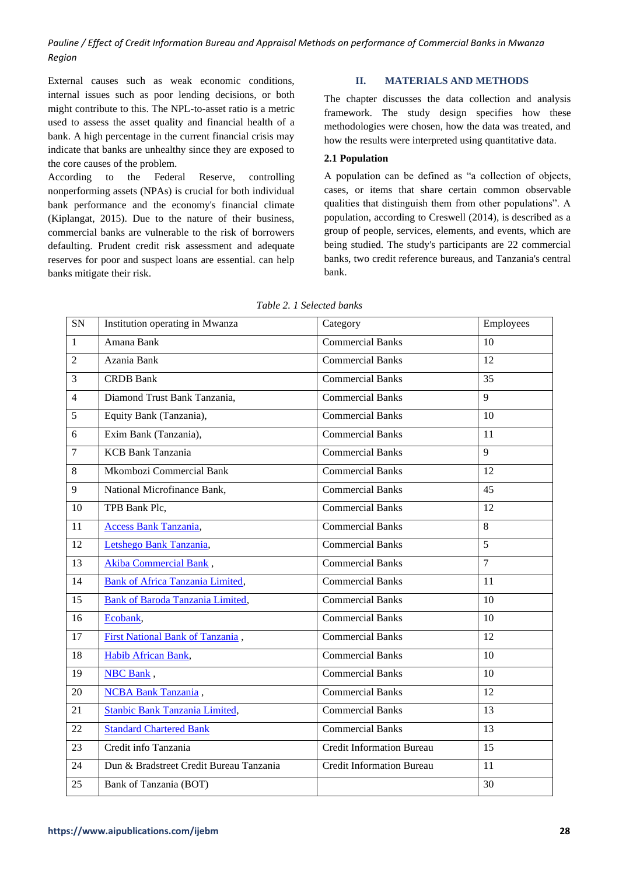External causes such as weak economic conditions, internal issues such as poor lending decisions, or both might contribute to this. The NPL-to-asset ratio is a metric used to assess the asset quality and financial health of a bank. A high percentage in the current financial crisis may indicate that banks are unhealthy since they are exposed to the core causes of the problem.

According to the Federal Reserve, controlling nonperforming assets (NPAs) is crucial for both individual bank performance and the economy's financial climate (Kiplangat, 2015). Due to the nature of their business, commercial banks are vulnerable to the risk of borrowers defaulting. Prudent credit risk assessment and adequate reserves for poor and suspect loans are essential. can help banks mitigate their risk.

# **II. MATERIALS AND METHODS**

The chapter discusses the data collection and analysis framework. The study design specifies how these methodologies were chosen, how the data was treated, and how the results were interpreted using quantitative data.

#### **2.1 Population**

A population can be defined as "a collection of objects, cases, or items that share certain common observable qualities that distinguish them from other populations". A population, according to Creswell (2014), is described as a group of people, services, elements, and events, which are being studied. The study's participants are 22 commercial banks, two credit reference bureaus, and Tanzania's central bank.

| SN             | Institution operating in Mwanza         | Category                         | Employees      |
|----------------|-----------------------------------------|----------------------------------|----------------|
| $\mathbf{1}$   | Amana Bank                              | <b>Commercial Banks</b>          | 10             |
| $\overline{2}$ | Azania Bank                             | <b>Commercial Banks</b>          | 12             |
| $\overline{3}$ | <b>CRDB</b> Bank                        | <b>Commercial Banks</b>          | 35             |
| $\overline{4}$ | Diamond Trust Bank Tanzania,            | <b>Commercial Banks</b>          | $\mathbf{Q}$   |
| 5              | Equity Bank (Tanzania),                 | <b>Commercial Banks</b>          | 10             |
| 6              | Exim Bank (Tanzania),                   | <b>Commercial Banks</b>          | 11             |
| $\overline{7}$ | <b>KCB</b> Bank Tanzania                | <b>Commercial Banks</b>          | $\mathbf{Q}$   |
| 8              | Mkombozi Commercial Bank                | <b>Commercial Banks</b>          | 12             |
| 9              | National Microfinance Bank,             | <b>Commercial Banks</b>          | 45             |
| 10             | TPB Bank Plc,                           | <b>Commercial Banks</b>          | 12             |
| 11             | Access Bank Tanzania,                   | <b>Commercial Banks</b>          | 8              |
| 12             | Letshego Bank Tanzania,                 | <b>Commercial Banks</b>          | 5              |
| 13             | Akiba Commercial Bank,                  | <b>Commercial Banks</b>          | $\overline{7}$ |
| 14             | <b>Bank of Africa Tanzania Limited,</b> | <b>Commercial Banks</b>          | 11             |
| 15             | <b>Bank of Baroda Tanzania Limited,</b> | <b>Commercial Banks</b>          | 10             |
| 16             | Ecobank,                                | <b>Commercial Banks</b>          | 10             |
| 17             | First National Bank of Tanzania,        | <b>Commercial Banks</b>          | 12             |
| 18             | Habib African Bank,                     | <b>Commercial Banks</b>          | 10             |
| 19             | NBC Bank,                               | <b>Commercial Banks</b>          | 10             |
| 20             | <b>NCBA Bank Tanzania</b> ,             | <b>Commercial Banks</b>          | 12             |
| 21             | Stanbic Bank Tanzania Limited,          | <b>Commercial Banks</b>          | 13             |
| 22             | <b>Standard Chartered Bank</b>          | <b>Commercial Banks</b>          | 13             |
| 23             | Credit info Tanzania                    | <b>Credit Information Bureau</b> | 15             |
| 24             | Dun & Bradstreet Credit Bureau Tanzania | <b>Credit Information Bureau</b> | 11             |
| 25             | Bank of Tanzania (BOT)                  |                                  | 30             |

*Table 2. 1 Selected banks*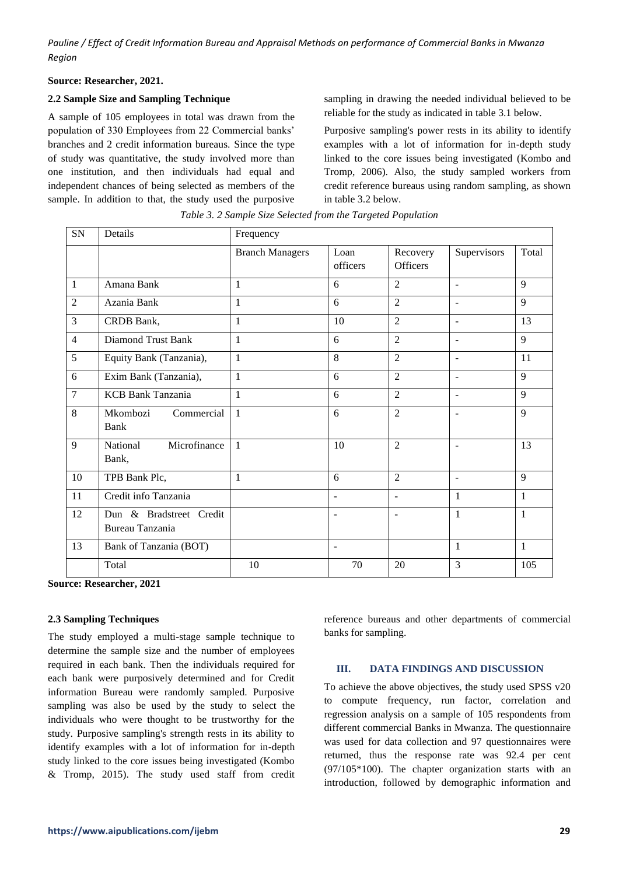#### **Source: Researcher, 2021.**

## **2.2 Sample Size and Sampling Technique**

A sample of 105 employees in total was drawn from the population of 330 Employees from 22 Commercial banks' branches and 2 credit information bureaus. Since the type of study was quantitative, the study involved more than one institution, and then individuals had equal and independent chances of being selected as members of the sample. In addition to that, the study used the purposive sampling in drawing the needed individual believed to be reliable for the study as indicated in table 3.1 below.

Purposive sampling's power rests in its ability to identify examples with a lot of information for in-depth study linked to the core issues being investigated (Kombo and Tromp, 2006). Also, the study sampled workers from credit reference bureaus using random sampling, as shown in table 3.2 below.

| SN             | Details                                    | Frequency              |                  |                             |                          |              |  |
|----------------|--------------------------------------------|------------------------|------------------|-----------------------------|--------------------------|--------------|--|
|                |                                            | <b>Branch Managers</b> | Loan<br>officers | Recovery<br><b>Officers</b> | Supervisors              | Total        |  |
| $\mathbf{1}$   | Amana Bank                                 | 1                      | 6                | $\overline{2}$              | $\blacksquare$           | $\mathbf{Q}$ |  |
| $\overline{2}$ | Azania Bank                                | $\mathbf{1}$           | 6                | $\overline{2}$              | $\blacksquare$           | 9            |  |
| $\overline{3}$ | CRDB Bank,                                 | $\mathbf{1}$           | 10               | $\overline{2}$              | $\blacksquare$           | 13           |  |
| $\overline{4}$ | <b>Diamond Trust Bank</b>                  | $\mathbf{1}$           | 6                | $\overline{2}$              | $\overline{\phantom{a}}$ | 9            |  |
| 5              | Equity Bank (Tanzania),                    | $\mathbf{1}$           | 8                | $\overline{2}$              | $\overline{\phantom{a}}$ | 11           |  |
| 6              | Exim Bank (Tanzania),                      | $\mathbf{1}$           | 6                | $\overline{2}$              | $\blacksquare$           | 9            |  |
| $\overline{7}$ | <b>KCB Bank Tanzania</b>                   | $\mathbf{1}$           | 6                | $\overline{2}$              | $\overline{a}$           | 9            |  |
| 8              | Mkombozi<br>Commercial<br>Bank             | $\mathbf{1}$           | 6                | $\overline{2}$              |                          | 9            |  |
| 9              | Microfinance<br>National<br>Bank,          | $\mathbf{1}$           | 10               | $\overline{2}$              | ÷                        | 13           |  |
| 10             | TPB Bank Plc,                              | $\mathbf{1}$           | 6                | $\overline{2}$              | $\blacksquare$           | 9            |  |
| 11             | Credit info Tanzania                       |                        | $\overline{a}$   | $\overline{a}$              | $\mathbf{1}$             | $\mathbf{1}$ |  |
| 12             | Dun & Bradstreet Credit<br>Bureau Tanzania |                        | $\overline{a}$   | $\overline{a}$              | $\mathbf{1}$             | $\mathbf{1}$ |  |
| 13             | Bank of Tanzania (BOT)                     |                        | $\overline{a}$   |                             | $\mathbf{1}$             | $\mathbf{1}$ |  |
|                | Total                                      | 10                     | 70               | 20                          | 3                        | 105          |  |

*Table 3. 2 Sample Size Selected from the Targeted Population*

**Source: Researcher, 2021**

## **2.3 Sampling Techniques**

The study employed a multi-stage sample technique to determine the sample size and the number of employees required in each bank. Then the individuals required for each bank were purposively determined and for Credit information Bureau were randomly sampled. Purposive sampling was also be used by the study to select the individuals who were thought to be trustworthy for the study. Purposive sampling's strength rests in its ability to identify examples with a lot of information for in-depth study linked to the core issues being investigated (Kombo & Tromp, 2015). The study used staff from credit reference bureaus and other departments of commercial banks for sampling.

## **III. DATA FINDINGS AND DISCUSSION**

To achieve the above objectives, the study used SPSS v20 to compute frequency, run factor, correlation and regression analysis on a sample of 105 respondents from different commercial Banks in Mwanza. The questionnaire was used for data collection and 97 questionnaires were returned, thus the response rate was 92.4 per cent (97/105\*100). The chapter organization starts with an introduction, followed by demographic information and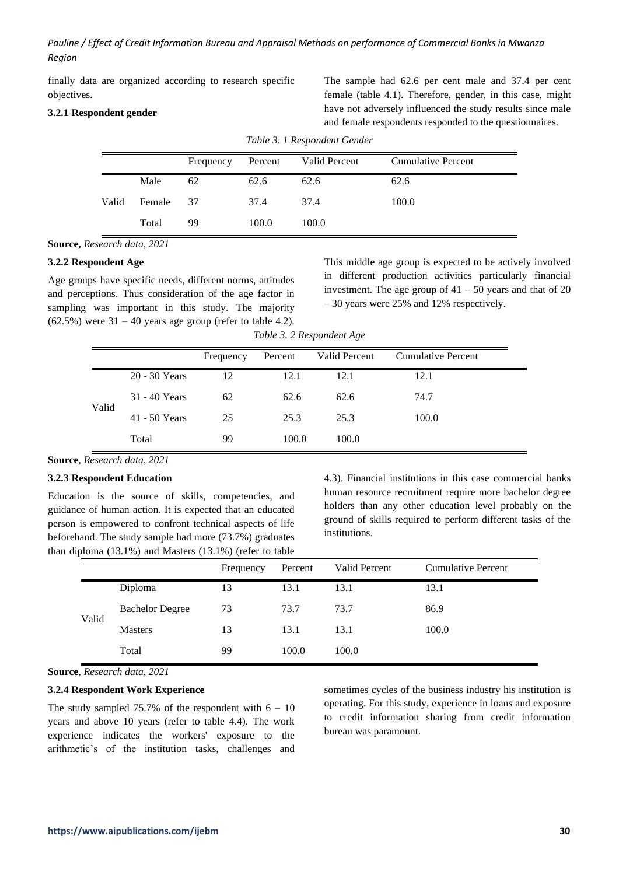finally data are organized according to research specific objectives.

## **3.2.1 Respondent gender**

The sample had 62.6 per cent male and 37.4 per cent female (table 4.1). Therefore, gender, in this case, might have not adversely influenced the study results since male and female respondents responded to the questionnaires.

|       |        | Frequency | Percent | Valid Percent | <b>Cumulative Percent</b> |
|-------|--------|-----------|---------|---------------|---------------------------|
|       | Male   | 62        | 62.6    | 62.6          | 62.6                      |
| Valid | Female | 37        | 37.4    | 37.4          | 100.0                     |
|       | Total  | 99        | 100.0   | 100.0         |                           |

*Table 3. 1 Respondent Gender*

**Source,** *Research data, 2021*

#### **3.2.2 Respondent Age**

Age groups have specific needs, different norms, attitudes and perceptions. Thus consideration of the age factor in sampling was important in this study. The majority  $(62.5\%)$  were  $31 - 40$  years age group (refer to table 4.2).

This middle age group is expected to be actively involved in different production activities particularly financial investment. The age group of  $41 - 50$  years and that of 20 – 30 years were 25% and 12% respectively.

*Table 3. 2 Respondent Age*

|       |               | Frequency | Percent | Valid Percent | <b>Cumulative Percent</b> |
|-------|---------------|-----------|---------|---------------|---------------------------|
|       | 20 - 30 Years | 12        | 12.1    | 12.1          | 12.1                      |
| Valid | 31 - 40 Years | 62        | 62.6    | 62.6          | 74.7                      |
|       | 41 - 50 Years | 25        | 25.3    | 25.3          | 100.0                     |
|       | Total         | 99        | 100.0   | 100.0         |                           |

**Source**, *Research data, 2021*

#### **3.2.3 Respondent Education**

Education is the source of skills, competencies, and guidance of human action. It is expected that an educated person is empowered to confront technical aspects of life beforehand. The study sample had more (73.7%) graduates than diploma (13.1%) and Masters (13.1%) (refer to table

4.3). Financial institutions in this case commercial banks human resource recruitment require more bachelor degree holders than any other education level probably on the ground of skills required to perform different tasks of the institutions.

|       |                        | Frequency | Percent | Valid Percent | <b>Cumulative Percent</b> |
|-------|------------------------|-----------|---------|---------------|---------------------------|
|       | Diploma                | 13        | 13.1    | 13.1          | 13.1                      |
| Valid | <b>Bachelor Degree</b> | 73        | 73.7    | 73.7          | 86.9                      |
|       | <b>Masters</b>         | 13        | 13.1    | 13.1          | 100.0                     |
|       | Total                  | 99        | 100.0   | 100.0         |                           |

**Source**, *Research data, 2021*

## **3.2.4 Respondent Work Experience**

The study sampled  $75.7\%$  of the respondent with  $6 - 10$ years and above 10 years (refer to table 4.4). The work experience indicates the workers' exposure to the arithmetic's of the institution tasks, challenges and sometimes cycles of the business industry his institution is operating. For this study, experience in loans and exposure to credit information sharing from credit information bureau was paramount.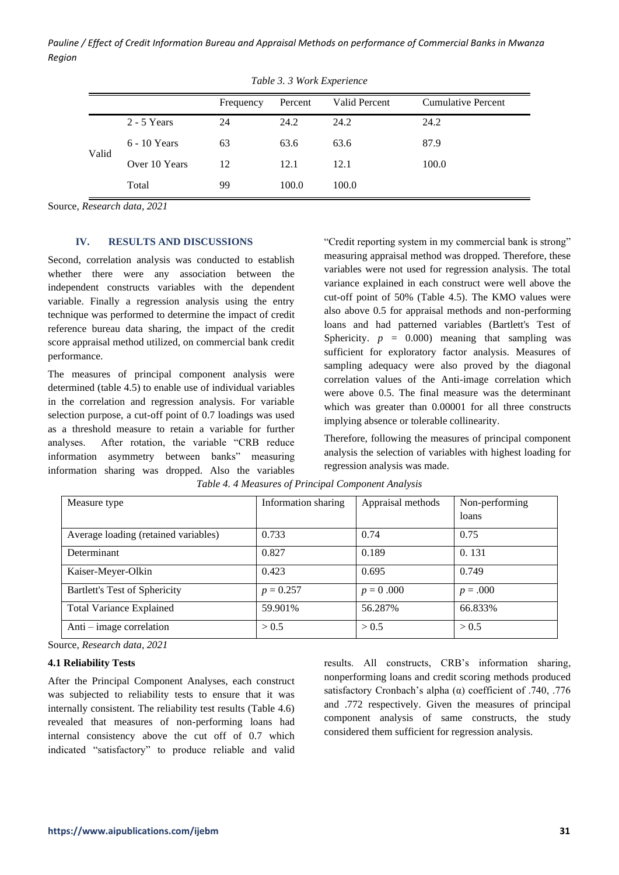|       | Tuble J. J WOIK Experience |           |         |               |                           |  |  |  |
|-------|----------------------------|-----------|---------|---------------|---------------------------|--|--|--|
|       |                            | Frequency | Percent | Valid Percent | <b>Cumulative Percent</b> |  |  |  |
|       | $2 - 5$ Years              | 24        | 24.2    | 24.2          | 24.2                      |  |  |  |
| Valid | $6 - 10$ Years             | 63        | 63.6    | 63.6          | 87.9                      |  |  |  |
|       | Over 10 Years              | 12        | 12.1    | 12.1          | 100.0                     |  |  |  |
|       | Total                      | 99        | 100.0   | 100.0         |                           |  |  |  |

*Table 3. 3 Work Experience*

Source, *Research data, 2021*

#### **IV. RESULTS AND DISCUSSIONS**

Second, correlation analysis was conducted to establish whether there were any association between the independent constructs variables with the dependent variable. Finally a regression analysis using the entry technique was performed to determine the impact of credit reference bureau data sharing, the impact of the credit score appraisal method utilized, on commercial bank credit performance.

The measures of principal component analysis were determined (table 4.5) to enable use of individual variables in the correlation and regression analysis. For variable selection purpose, a cut-off point of 0.7 loadings was used as a threshold measure to retain a variable for further analyses. After rotation, the variable "CRB reduce information asymmetry between banks" measuring information sharing was dropped. Also the variables

"Credit reporting system in my commercial bank is strong" measuring appraisal method was dropped. Therefore, these variables were not used for regression analysis. The total variance explained in each construct were well above the cut-off point of 50% (Table 4.5). The KMO values were also above 0.5 for appraisal methods and non-performing loans and had patterned variables (Bartlett's Test of Sphericity.  $p = 0.000$  meaning that sampling was sufficient for exploratory factor analysis. Measures of sampling adequacy were also proved by the diagonal correlation values of the Anti-image correlation which were above 0.5. The final measure was the determinant which was greater than 0.00001 for all three constructs implying absence or tolerable collinearity.

Therefore, following the measures of principal component analysis the selection of variables with highest loading for regression analysis was made.

| Measure type                         | Information sharing | Appraisal methods | Non-performing<br>loans |
|--------------------------------------|---------------------|-------------------|-------------------------|
| Average loading (retained variables) | 0.733               | 0.74              | 0.75                    |
| Determinant                          | 0.827               | 0.189             | 0.131                   |
| Kaiser-Meyer-Olkin                   | 0.423               | 0.695             | 0.749                   |
| Bartlett's Test of Sphericity        | $p = 0.257$         | $p = 0.000$       | $p = .000$              |
| <b>Total Variance Explained</b>      | 59.901%             | 56.287%           | 66.833%                 |
| Anti $-$ image correlation           | > 0.5               | > 0.5             | > 0.5                   |

*Table 4. 4 Measures of Principal Component Analysis*

Source, *Research data, 2021*

#### **4.1 Reliability Tests**

After the Principal Component Analyses, each construct was subjected to reliability tests to ensure that it was internally consistent. The reliability test results (Table 4.6) revealed that measures of non-performing loans had internal consistency above the cut off of 0.7 which indicated "satisfactory" to produce reliable and valid results. All constructs, CRB's information sharing, nonperforming loans and credit scoring methods produced satisfactory Cronbach's alpha  $(\alpha)$  coefficient of .740, .776 and .772 respectively. Given the measures of principal component analysis of same constructs, the study considered them sufficient for regression analysis.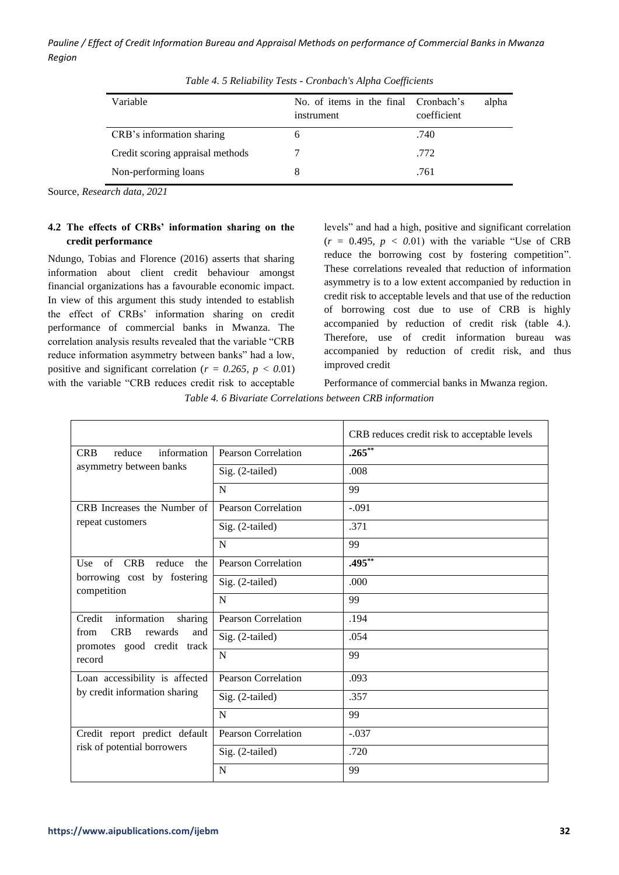| Variable                         | No. of items in the final Cronbach's<br>instrument | alpha<br>coefficient |
|----------------------------------|----------------------------------------------------|----------------------|
| CRB's information sharing        | h                                                  | .740                 |
| Credit scoring appraisal methods |                                                    | .772                 |
| Non-performing loans             |                                                    | .761                 |

*Table 4. 5 Reliability Tests - Cronbach's Alpha Coefficients*

Source, *Research data, 2021*

# **4.2 The effects of CRBs' information sharing on the credit performance**

Ndungo, Tobias and Florence (2016) asserts that sharing information about client credit behaviour amongst financial organizations has a favourable economic impact. In view of this argument this study intended to establish the effect of CRBs' information sharing on credit performance of commercial banks in Mwanza. The correlation analysis results revealed that the variable "CRB reduce information asymmetry between banks" had a low, positive and significant correlation ( $r = 0.265$ ,  $p < 0.01$ ) with the variable "CRB reduces credit risk to acceptable levels" and had a high, positive and significant correlation  $(r = 0.495, p < 0.01)$  with the variable "Use of CRB" reduce the borrowing cost by fostering competition". These correlations revealed that reduction of information asymmetry is to a low extent accompanied by reduction in credit risk to acceptable levels and that use of the reduction of borrowing cost due to use of CRB is highly accompanied by reduction of credit risk (table 4.). Therefore, use of credit information bureau was accompanied by reduction of credit risk, and thus improved credit

Performance of commercial banks in Mwanza region.

*Table 4. 6 Bivariate Correlations between CRB information*

|                                                                    |                            | CRB reduces credit risk to acceptable levels |  |  |
|--------------------------------------------------------------------|----------------------------|----------------------------------------------|--|--|
| information<br><b>CRB</b><br>reduce                                | <b>Pearson Correlation</b> | $.265***$                                    |  |  |
| asymmetry between banks                                            | Sig. (2-tailed)            | .008                                         |  |  |
|                                                                    | N                          | 99                                           |  |  |
| CRB Increases the Number of                                        | Pearson Correlation        | $-.091$                                      |  |  |
| repeat customers                                                   | Sig. (2-tailed)            | .371                                         |  |  |
|                                                                    | N                          | 99                                           |  |  |
| $\sigma$ f<br><b>CRB</b><br>Use<br>reduce<br>the                   | <b>Pearson Correlation</b> | $.495***$                                    |  |  |
| borrowing cost by fostering<br>competition                         | Sig. (2-tailed)            | .000                                         |  |  |
|                                                                    | N                          | 99                                           |  |  |
| Credit<br>information<br>sharing                                   | <b>Pearson Correlation</b> | .194                                         |  |  |
| <b>CRB</b><br>rewards<br>from<br>and<br>promotes good credit track | Sig. (2-tailed)            | .054                                         |  |  |
| record                                                             | N                          | 99                                           |  |  |
| Loan accessibility is affected                                     | <b>Pearson Correlation</b> | .093                                         |  |  |
| by credit information sharing                                      | Sig. (2-tailed)            | .357                                         |  |  |
|                                                                    | N                          | 99                                           |  |  |
| Credit report predict default                                      | Pearson Correlation        | $-.037$                                      |  |  |
| risk of potential borrowers                                        | Sig. (2-tailed)            | .720                                         |  |  |
|                                                                    | N                          | 99                                           |  |  |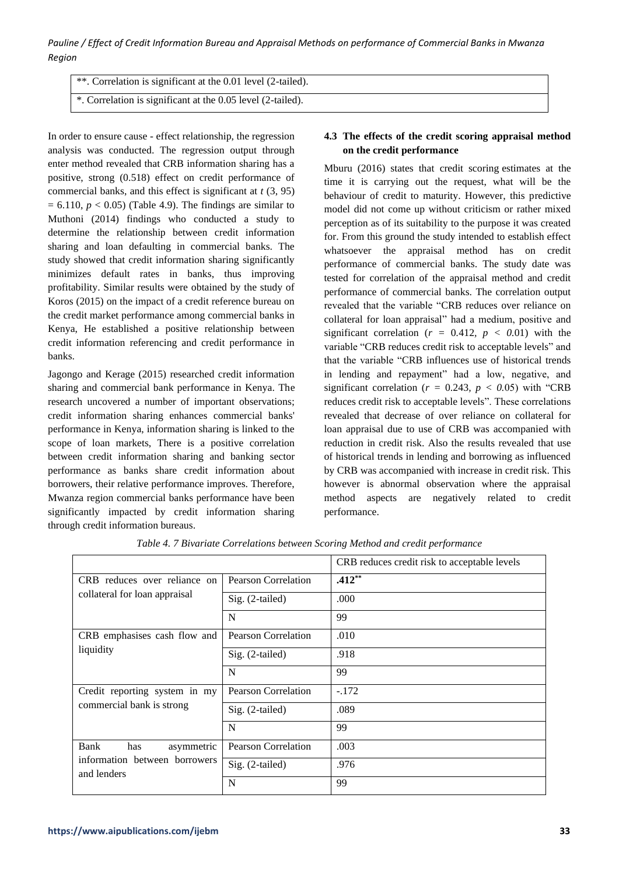*Pauline / Effect of Credit Information Bureau and Appraisal Methods on performance of Commercial Banks in Mwanza Region*

\*\*. Correlation is significant at the 0.01 level (2-tailed). \*. Correlation is significant at the 0.05 level (2-tailed).

In order to ensure cause - effect relationship, the regression analysis was conducted. The regression output through enter method revealed that CRB information sharing has a positive, strong (0.518) effect on credit performance of commercial banks, and this effect is significant at *t* (3, 95)  $= 6.110, p < 0.05$ ) (Table 4.9). The findings are similar to Muthoni (2014) findings who conducted a study to determine the relationship between credit information sharing and loan defaulting in commercial banks. The study showed that credit information sharing significantly minimizes default rates in banks, thus improving profitability. Similar results were obtained by the study of Koros (2015) on the impact of a credit reference bureau on the credit market performance among commercial banks in Kenya, He established a positive relationship between credit information referencing and credit performance in banks.

Jagongo and Kerage (2015) researched credit information sharing and commercial bank performance in Kenya. The research uncovered a number of important observations; credit information sharing enhances commercial banks' performance in Kenya, information sharing is linked to the scope of loan markets, There is a positive correlation between credit information sharing and banking sector performance as banks share credit information about borrowers, their relative performance improves. Therefore, Mwanza region commercial banks performance have been significantly impacted by credit information sharing through credit information bureaus.

# **4.3 The effects of the credit scoring appraisal method on the credit performance**

Mburu (2016) states that credit scoring estimates at the time it is carrying out the request, what will be the behaviour of credit to maturity. However, this predictive model did not come up without criticism or rather mixed perception as of its suitability to the purpose it was created for. From this ground the study intended to establish effect whatsoever the appraisal method has on credit performance of commercial banks. The study date was tested for correlation of the appraisal method and credit performance of commercial banks. The correlation output revealed that the variable "CRB reduces over reliance on collateral for loan appraisal" had a medium, positive and significant correlation ( $r = 0.412$ ,  $p < 0.01$ ) with the variable "CRB reduces credit risk to acceptable levels" and that the variable "CRB influences use of historical trends in lending and repayment" had a low, negative, and significant correlation ( $r = 0.243$ ,  $p < 0.05$ ) with "CRB reduces credit risk to acceptable levels". These correlations revealed that decrease of over reliance on collateral for loan appraisal due to use of CRB was accompanied with reduction in credit risk. Also the results revealed that use of historical trends in lending and borrowing as influenced by CRB was accompanied with increase in credit risk. This however is abnormal observation where the appraisal method aspects are negatively related to credit performance.

|                                              |                            | CRB reduces credit risk to acceptable levels |  |  |
|----------------------------------------------|----------------------------|----------------------------------------------|--|--|
| CRB reduces over reliance on                 | <b>Pearson Correlation</b> | $.412**$                                     |  |  |
| collateral for loan appraisal                | $Sig. (2-tailed)$          | .000                                         |  |  |
|                                              | N                          | 99                                           |  |  |
| CRB emphasises cash flow and                 | Pearson Correlation        | .010                                         |  |  |
| liquidity                                    | Sig. (2-tailed)            | .918                                         |  |  |
|                                              | N                          | 99                                           |  |  |
| Credit reporting system in my                | <b>Pearson Correlation</b> | $-.172$                                      |  |  |
| commercial bank is strong                    | Sig. (2-tailed)            | .089                                         |  |  |
|                                              | N                          | 99                                           |  |  |
| Bank<br>has<br>asymmetric                    | <b>Pearson Correlation</b> | .003                                         |  |  |
| information between borrowers<br>and lenders | Sig. (2-tailed)            | .976                                         |  |  |
|                                              | N                          | 99                                           |  |  |

*Table 4. 7 Bivariate Correlations between Scoring Method and credit performance*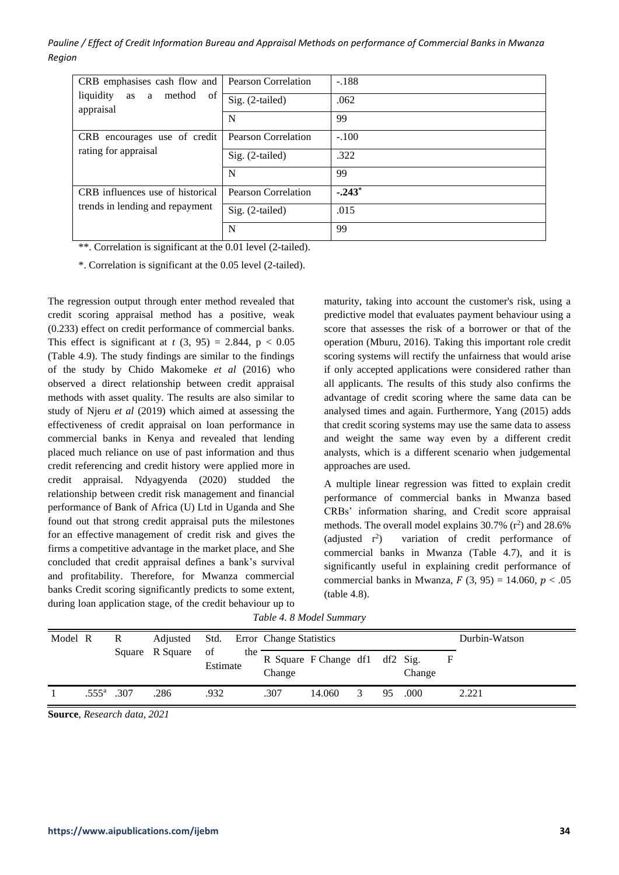*Pauline / Effect of Credit Information Bureau and Appraisal Methods on performance of Commercial Banks in Mwanza Region*

| CRB emphasises cash flow and                      | Pearson Correlation | $-.188$  |
|---------------------------------------------------|---------------------|----------|
| liquidity<br>method<br>a<br>of<br>as<br>appraisal | Sig. (2-tailed)     | .062     |
|                                                   | N                   | 99       |
| CRB encourages use of credit                      | Pearson Correlation | $-.100$  |
| rating for appraisal                              | $Sig. (2-tailed)$   | .322     |
|                                                   | N                   | 99       |
| CRB influences use of historical                  | Pearson Correlation | $-.243*$ |
| trends in lending and repayment                   | Sig. (2-tailed)     | .015     |
|                                                   | N                   | 99       |

\*\*. Correlation is significant at the 0.01 level (2-tailed).

\*. Correlation is significant at the 0.05 level (2-tailed).

The regression output through enter method revealed that credit scoring appraisal method has a positive, weak (0.233) effect on credit performance of commercial banks. This effect is significant at  $t$  (3, 95) = 2.844, p < 0.05 (Table 4.9). The study findings are similar to the findings of the study by Chido Makomeke *et al* (2016) who observed a direct relationship between credit appraisal methods with asset quality. The results are also similar to study of Njeru *et al* (2019) which aimed at assessing the effectiveness of credit appraisal on loan performance in commercial banks in Kenya and revealed that lending placed much reliance on use of past information and thus credit referencing and credit history were applied more in credit appraisal. Ndyagyenda (2020) studded the relationship between credit risk management and financial performance of Bank of Africa (U) Ltd in Uganda and She found out that strong credit appraisal puts the milestones for an effective management of credit risk and gives the firms a competitive advantage in the market place, and She concluded that credit appraisal defines a bank's survival and profitability. Therefore, for Mwanza commercial banks Credit scoring significantly predicts to some extent, during loan application stage, of the credit behaviour up to

maturity, taking into account the customer's risk, using a predictive model that evaluates payment behaviour using a score that assesses the risk of a borrower or that of the operation (Mburu, 2016). Taking this important role credit scoring systems will rectify the unfairness that would arise if only accepted applications were considered rather than all applicants. The results of this study also confirms the advantage of credit scoring where the same data can be analysed times and again. Furthermore, Yang (2015) adds that credit scoring systems may use the same data to assess and weight the same way even by a different credit analysts, which is a different scenario when judgemental approaches are used.

A multiple linear regression was fitted to explain credit performance of commercial banks in Mwanza based CRBs' information sharing, and Credit score appraisal methods. The overall model explains  $30.7\%$  ( $r^2$ ) and  $28.6\%$  $(adjusted r<sup>2</sup>)$ ) variation of credit performance of commercial banks in Mwanza (Table 4.7), and it is significantly useful in explaining credit performance of commercial banks in Mwanza,  $F(3, 95) = 14.060$ ,  $p < .05$ (table 4.8).

*Table 4. 8 Model Summary*

| Model R |                | R    | Adjusted        | Std.           |     | Error Change Statistics |                                |   |    |        | Durbin-Watson |
|---------|----------------|------|-----------------|----------------|-----|-------------------------|--------------------------------|---|----|--------|---------------|
|         |                |      | Square R Square | of<br>Estimate | the | Change                  | R Square F Change df1 df2 Sig. |   |    | Change | F             |
|         | $.555^{\circ}$ | .307 | .286            | .932           |     | .307                    | 14.060                         | 3 | 95 | .000   | 2.221         |

**Source**, *Research data, 2021*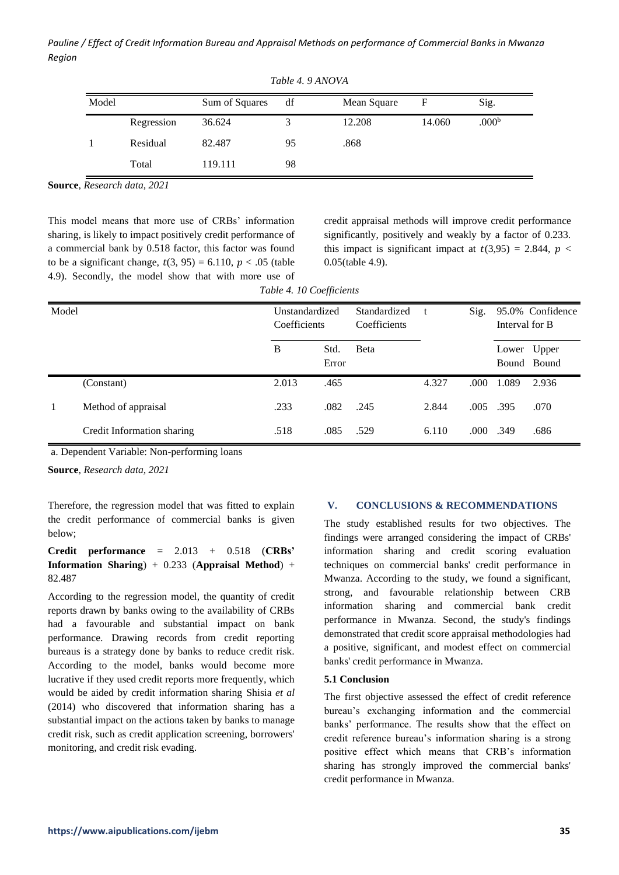*Pauline / Effect of Credit Information Bureau and Appraisal Methods on performance of Commercial Banks in Mwanza Region*

| Model |            | Sum of Squares | df | Mean Square | F      | Sig.              |  |
|-------|------------|----------------|----|-------------|--------|-------------------|--|
|       | Regression | 36.624         |    | 12.208      | 14.060 | .000 <sup>b</sup> |  |
|       | Residual   | 82.487         | 95 | .868        |        |                   |  |
|       | Total      | 119.111        | 98 |             |        |                   |  |

*Table 4. 9 ANOVA*

**Source**, *Research data, 2021*

This model means that more use of CRBs' information sharing, is likely to impact positively credit performance of a commercial bank by 0.518 factor, this factor was found to be a significant change,  $t(3, 95) = 6.110$ ,  $p < .05$  (table 4.9). Secondly, the model show that with more use of credit appraisal methods will improve credit performance significantly, positively and weakly by a factor of 0.233. this impact is significant impact at  $t(3,95) = 2.844$ ,  $p <$ 0.05(table 4.9).

|       | Twele 1. To cochierento    |                |       |              |       |      |                |                  |  |  |  |  |  |
|-------|----------------------------|----------------|-------|--------------|-------|------|----------------|------------------|--|--|--|--|--|
| Model |                            | Unstandardized |       | Standardized |       | Sig. |                | 95.0% Confidence |  |  |  |  |  |
|       |                            | Coefficients   |       | Coefficients |       |      | Interval for B |                  |  |  |  |  |  |
|       |                            | B              | Std.  | <b>B</b> eta |       |      | Lower          | Upper            |  |  |  |  |  |
|       |                            |                | Error |              |       |      |                | Bound Bound      |  |  |  |  |  |
|       | (Constant)                 | 2.013          | .465  |              | 4.327 | .000 | 1.089          | 2.936            |  |  |  |  |  |
|       | Method of appraisal        | .233           | .082  | .245         | 2.844 | .005 | .395           | .070             |  |  |  |  |  |
|       | Credit Information sharing | .518           | .085  | .529         | 6.110 | .000 | .349           | .686             |  |  |  |  |  |

*Table 4. 10 Coefficients*

a. Dependent Variable: Non-performing loans

**Source**, *Research data, 2021*

Therefore, the regression model that was fitted to explain the credit performance of commercial banks is given below;

# **Credit performance** = 2.013 + 0.518 (**CRBs' Information Sharing**) + 0.233 (**Appraisal Method**) + 82.487

According to the regression model, the quantity of credit reports drawn by banks owing to the availability of CRBs had a favourable and substantial impact on bank performance. Drawing records from credit reporting bureaus is a strategy done by banks to reduce credit risk. According to the model, banks would become more lucrative if they used credit reports more frequently, which would be aided by credit information sharing Shisia *et al* (2014) who discovered that information sharing has a substantial impact on the actions taken by banks to manage credit risk, such as credit application screening, borrowers' monitoring, and credit risk evading.

## **V. CONCLUSIONS & RECOMMENDATIONS**

The study established results for two objectives. The findings were arranged considering the impact of CRBs' information sharing and credit scoring evaluation techniques on commercial banks' credit performance in Mwanza. According to the study, we found a significant, strong, and favourable relationship between CRB information sharing and commercial bank credit performance in Mwanza. Second, the study's findings demonstrated that credit score appraisal methodologies had a positive, significant, and modest effect on commercial banks' credit performance in Mwanza.

## **5.1 Conclusion**

The first objective assessed the effect of credit reference bureau's exchanging information and the commercial banks' performance. The results show that the effect on credit reference bureau's information sharing is a strong positive effect which means that CRB's information sharing has strongly improved the commercial banks' credit performance in Mwanza.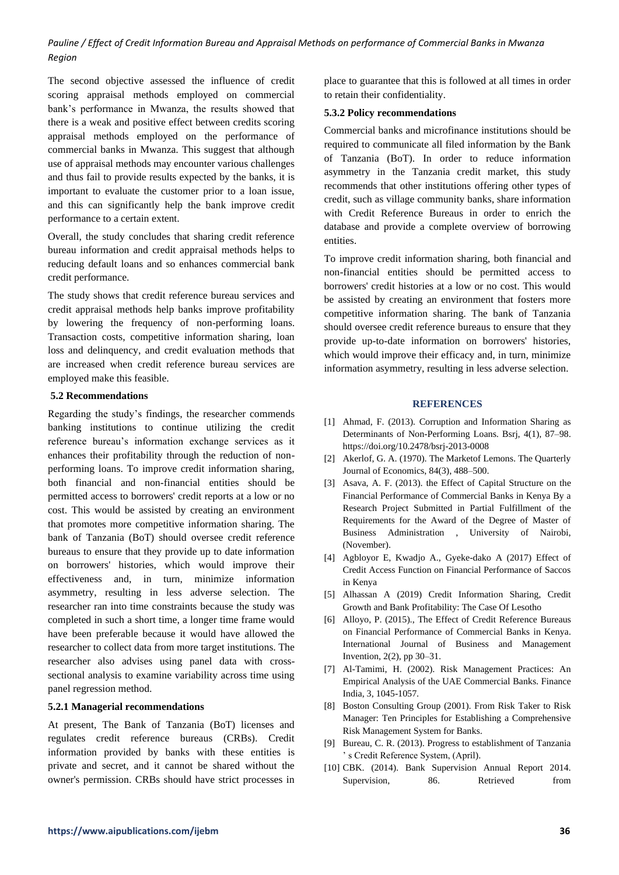The second objective assessed the influence of credit scoring appraisal methods employed on commercial bank's performance in Mwanza, the results showed that there is a weak and positive effect between credits scoring appraisal methods employed on the performance of commercial banks in Mwanza. This suggest that although use of appraisal methods may encounter various challenges and thus fail to provide results expected by the banks, it is important to evaluate the customer prior to a loan issue, and this can significantly help the bank improve credit performance to a certain extent.

Overall, the study concludes that sharing credit reference bureau information and credit appraisal methods helps to reducing default loans and so enhances commercial bank credit performance.

The study shows that credit reference bureau services and credit appraisal methods help banks improve profitability by lowering the frequency of non-performing loans. Transaction costs, competitive information sharing, loan loss and delinquency, and credit evaluation methods that are increased when credit reference bureau services are employed make this feasible.

#### **5.2 Recommendations**

Regarding the study's findings, the researcher commends banking institutions to continue utilizing the credit reference bureau's information exchange services as it enhances their profitability through the reduction of nonperforming loans. To improve credit information sharing, both financial and non-financial entities should be permitted access to borrowers' credit reports at a low or no cost. This would be assisted by creating an environment that promotes more competitive information sharing. The bank of Tanzania (BoT) should oversee credit reference bureaus to ensure that they provide up to date information on borrowers' histories, which would improve their effectiveness and, in turn, minimize information asymmetry, resulting in less adverse selection. The researcher ran into time constraints because the study was completed in such a short time, a longer time frame would have been preferable because it would have allowed the researcher to collect data from more target institutions. The researcher also advises using panel data with crosssectional analysis to examine variability across time using panel regression method.

#### **5.2.1 Managerial recommendations**

At present, The Bank of Tanzania (BoT) licenses and regulates credit reference bureaus (CRBs). Credit information provided by banks with these entities is private and secret, and it cannot be shared without the owner's permission. CRBs should have strict processes in place to guarantee that this is followed at all times in order to retain their confidentiality.

#### **5.3.2 Policy recommendations**

Commercial banks and microfinance institutions should be required to communicate all filed information by the Bank of Tanzania (BoT). In order to reduce information asymmetry in the Tanzania credit market, this study recommends that other institutions offering other types of credit, such as village community banks, share information with Credit Reference Bureaus in order to enrich the database and provide a complete overview of borrowing entities.

To improve credit information sharing, both financial and non-financial entities should be permitted access to borrowers' credit histories at a low or no cost. This would be assisted by creating an environment that fosters more competitive information sharing. The bank of Tanzania should oversee credit reference bureaus to ensure that they provide up-to-date information on borrowers' histories, which would improve their efficacy and, in turn, minimize information asymmetry, resulting in less adverse selection.

#### **REFERENCES**

- [1] Ahmad, F. (2013). Corruption and Information Sharing as Determinants of Non-Performing Loans. Bsrj, 4(1), 87–98. https://doi.org/10.2478/bsrj-2013-0008
- [2] Akerlof, G. A. (1970). The Marketof Lemons. The Quarterly Journal of Economics, 84(3), 488–500.
- [3] Asava, A. F. (2013). the Effect of Capital Structure on the Financial Performance of Commercial Banks in Kenya By a Research Project Submitted in Partial Fulfillment of the Requirements for the Award of the Degree of Master of Business Administration , University of Nairobi, (November).
- [4] Agbloyor E, Kwadjo A., Gyeke-dako A (2017) Effect of Credit Access Function on Financial Performance of Saccos in Kenya
- [5] Alhassan A (2019) Credit Information Sharing, Credit Growth and Bank Profitability: The Case Of Lesotho
- [6] Alloyo, P. (2015)., The Effect of Credit Reference Bureaus on Financial Performance of Commercial Banks in Kenya. International Journal of Business and Management Invention, 2(2), pp 30–31.
- [7] Al-Tamimi, H. (2002). Risk Management Practices: An Empirical Analysis of the UAE Commercial Banks. Finance India, 3, 1045-1057.
- [8] Boston Consulting Group (2001). From Risk Taker to Risk Manager: Ten Principles for Establishing a Comprehensive Risk Management System for Banks.
- [9] Bureau, C. R. (2013). Progress to establishment of Tanzania ' s Credit Reference System, (April).
- [10] CBK. (2014). Bank Supervision Annual Report 2014. Supervision, 86. Retrieved from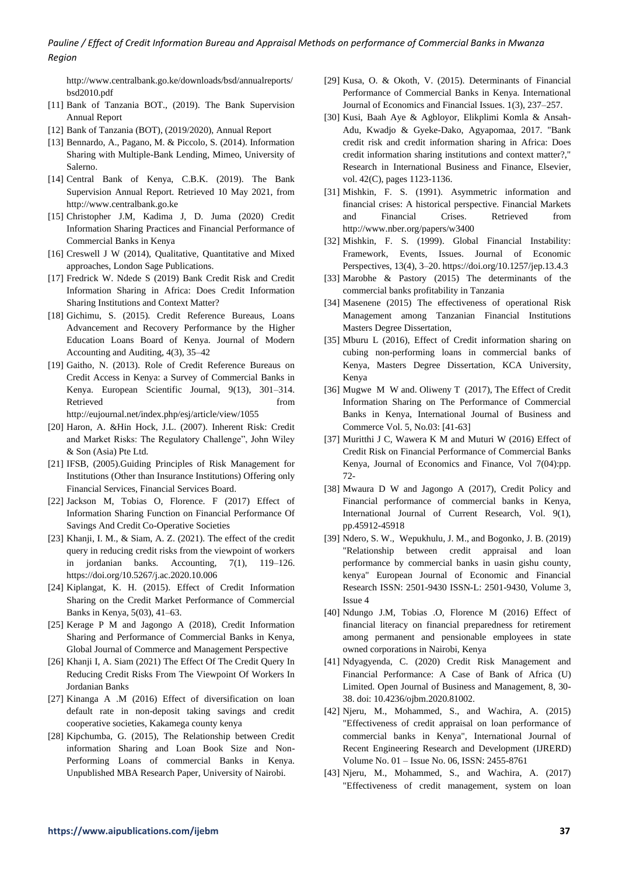http://www.centralbank.go.ke/downloads/bsd/annualreports/ bsd2010.pdf

- [11] Bank of Tanzania BOT., (2019). The Bank Supervision Annual Report
- [12] Bank of Tanzania (BOT), (2019/2020), Annual Report
- [13] Bennardo, A., Pagano, M. & Piccolo, S. (2014). Information Sharing with Multiple-Bank Lending, Mimeo, University of Salerno.
- [14] Central Bank of Kenya, C.B.K. (2019). The Bank Supervision Annual Report. Retrieved 10 May 2021, from http://www.centralbank.go.ke
- [15] Christopher J.M, Kadima J, D. Juma (2020) Credit Information Sharing Practices and Financial Performance of Commercial Banks in Kenya
- [16] Creswell J W (2014), Qualitative, Quantitative and Mixed approaches, London Sage Publications.
- [17] Fredrick W. Ndede S (2019) Bank Credit Risk and Credit Information Sharing in Africa: Does Credit Information Sharing Institutions and Context Matter?
- [18] Gichimu, S. (2015). Credit Reference Bureaus, Loans Advancement and Recovery Performance by the Higher Education Loans Board of Kenya. Journal of Modern Accounting and Auditing, 4(3), 35–42
- [19] Gaitho, N. (2013). Role of Credit Reference Bureaus on Credit Access in Kenya: a Survey of Commercial Banks in Kenya. European Scientific Journal, 9(13), 301–314. Retrieved from http://eujournal.net/index.php/esj/article/view/1055
	-
- [20] Haron, A. &Hin Hock, J.L. (2007). Inherent Risk: Credit and Market Risks: The Regulatory Challenge", John Wiley & Son (Asia) Pte Ltd.
- [21] IFSB, (2005).Guiding Principles of Risk Management for Institutions (Other than Insurance Institutions) Offering only Financial Services, Financial Services Board.
- [22] Jackson M, Tobias O, Florence. F (2017) Effect of Information Sharing Function on Financial Performance Of Savings And Credit Co-Operative Societies
- [23] Khanji, I. M., & Siam, A. Z. (2021). The effect of the credit query in reducing credit risks from the viewpoint of workers in jordanian banks. Accounting, 7(1), 119–126. https://doi.org/10.5267/j.ac.2020.10.006
- [24] Kiplangat, K. H. (2015). Effect of Credit Information Sharing on the Credit Market Performance of Commercial Banks in Kenya, 5(03), 41–63.
- [25] Kerage P M and Jagongo A (2018), Credit Information Sharing and Performance of Commercial Banks in Kenya, Global Journal of Commerce and Management Perspective
- [26] Khanji I, A. Siam (2021) The Effect Of The Credit Query In Reducing Credit Risks From The Viewpoint Of Workers In Jordanian Banks
- [27] Kinanga A .M (2016) Effect of diversification on loan default rate in non-deposit taking savings and credit cooperative societies, Kakamega county kenya
- [28] Kipchumba, G. (2015), The Relationship between Credit information Sharing and Loan Book Size and Non-Performing Loans of commercial Banks in Kenya. Unpublished MBA Research Paper, University of Nairobi.
- [29] Kusa, O. & Okoth, V. (2015). Determinants of Financial Performance of Commercial Banks in Kenya. International Journal of Economics and Financial Issues. 1(3), 237–257.
- [30] Kusi, Baah Aye & Agbloyor, Elikplimi Komla & Ansah-Adu, Kwadjo & Gyeke-Dako, Agyapomaa, 2017. "Bank credit risk and credit information sharing in Africa: Does credit information sharing institutions and context matter?," Research in International Business and Finance, Elsevier, vol. 42(C), pages 1123-1136.
- [31] Mishkin, F. S. (1991). Asymmetric information and financial crises: A historical perspective. Financial Markets and Financial Crises. Retrieved from http://www.nber.org/papers/w3400
- [32] Mishkin, F. S. (1999). Global Financial Instability: Framework, Events, Issues. Journal of Economic Perspectives, 13(4), 3–20. https://doi.org/10.1257/jep.13.4.3
- [33] Marobhe & Pastory (2015) The determinants of the commercial banks profitability in Tanzania
- [34] Masenene (2015) The effectiveness of operational Risk Management among Tanzanian Financial Institutions Masters Degree Dissertation,
- [35] Mburu L (2016), Effect of Credit information sharing on cubing non-performing loans in commercial banks of Kenya, Masters Degree Dissertation, KCA University, Kenya
- [36] Mugwe M W and. Oliweny T (2017), The Effect of Credit Information Sharing on The Performance of Commercial Banks in Kenya, International Journal of Business and Commerce Vol. 5, No.03: [41-63]
- [37] Muritthi J C, Wawera K M and Muturi W (2016) Effect of Credit Risk on Financial Performance of Commercial Banks Kenya, Journal of Economics and Finance, Vol 7(04):pp. 72-
- [38] Mwaura D W and Jagongo A (2017), Credit Policy and Financial performance of commercial banks in Kenya, International Journal of Current Research, Vol. 9(1), pp.45912-45918
- [39] Ndero, S. W., Wepukhulu, J. M., and Bogonko, J. B. (2019) "Relationship between credit appraisal and loan performance by commercial banks in uasin gishu county, kenya" European Journal of Economic and Financial Research ISSN: 2501-9430 ISSN-L: 2501-9430, Volume 3, Issue 4
- [40] Ndungo J.M, Tobias .O, Florence M (2016) Effect of financial literacy on financial preparedness for retirement among permanent and pensionable employees in state owned corporations in Nairobi, Kenya
- [41] Ndyagyenda, C. (2020) Credit Risk Management and Financial Performance: A Case of Bank of Africa (U) Limited. Open Journal of Business and Management, 8, 30- 38. doi: 10.4236/ojbm.2020.81002.
- [42] Njeru, M., Mohammed, S., and Wachira, A. (2015) "Effectiveness of credit appraisal on loan performance of commercial banks in Kenya", International Journal of Recent Engineering Research and Development (IJRERD) Volume No. 01 – Issue No. 06, ISSN: 2455-8761
- [43] Njeru, M., Mohammed, S., and Wachira, A. (2017) "Effectiveness of credit management, system on loan